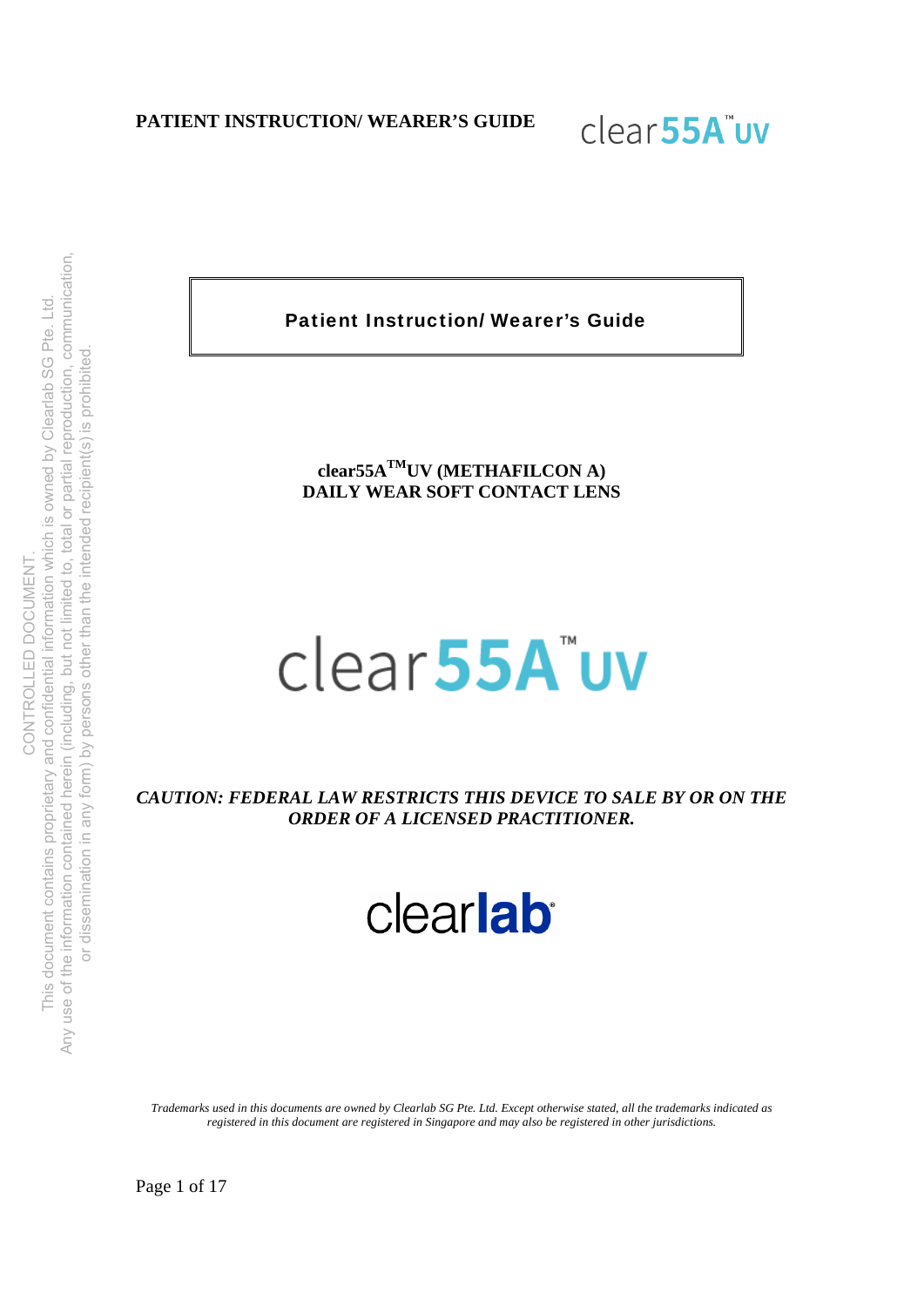

Patient Instruction/ Wearer's Guide

**clear55ATMUV (METHAFILCON A) DAILY WEAR SOFT CONTACT LENS** 

# clear55A"uv

*CAUTION: FEDERAL LAW RESTRICTS THIS DEVICE TO SALE BY OR ON THE ORDER OF A LICENSED PRACTITIONER.* 

clearlab

*Trademarks used in this documents are owned by Clearlab SG Pte. Ltd. Except otherwise stated, all the trademarks indicated as registered in this document are registered in Singapore and may also be registered in other jurisdictions.*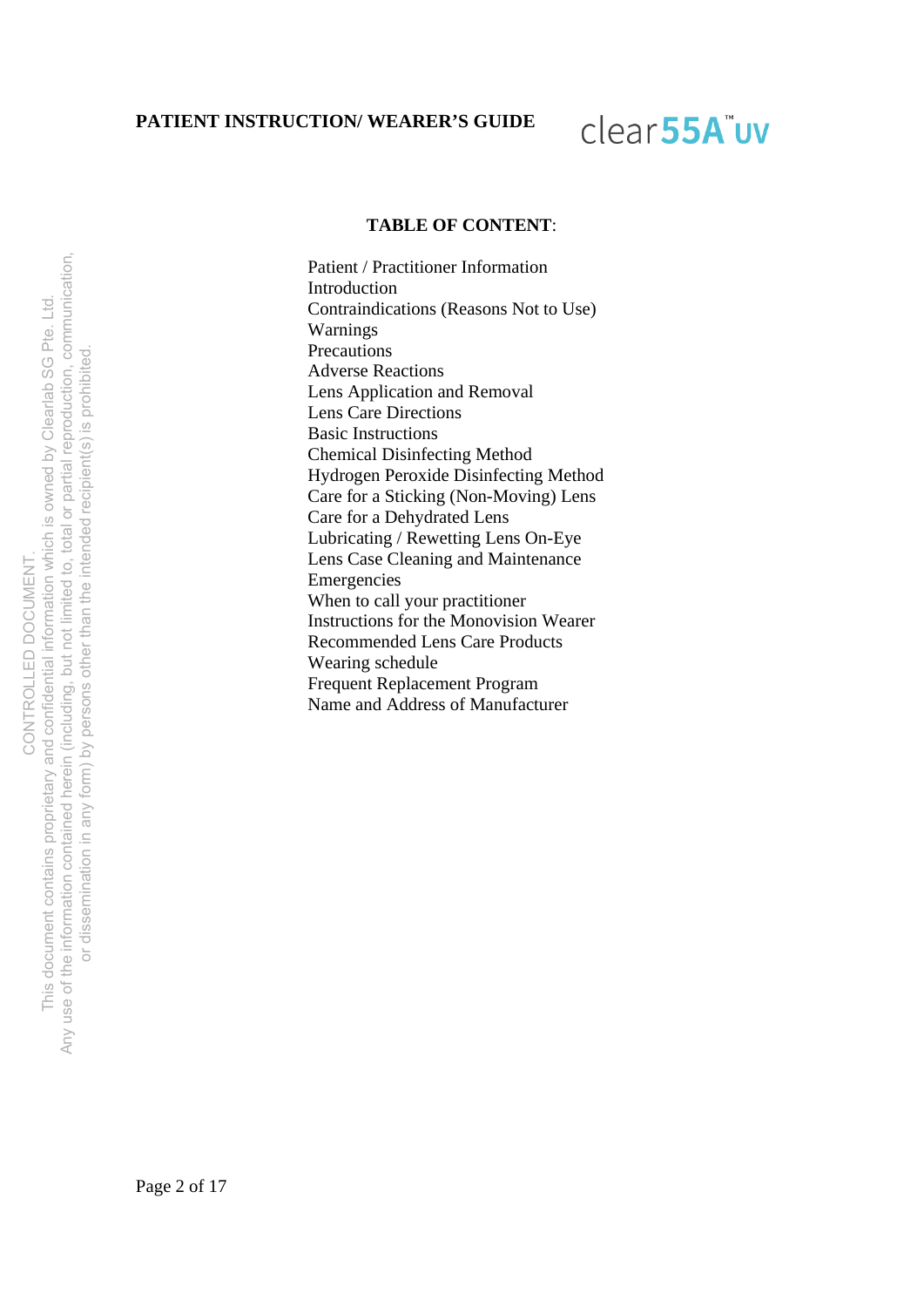# clear<sub>55A</sub>"uv

#### **TABLE OF CONTENT**:

Patient / Practitioner Information Introduction Contraindications (Reasons Not to Use) Warnings **Precautions** Adverse Reactions Lens Application and Removal Lens Care Directions Basic Instructions Chemical Disinfecting Method Hydrogen Peroxide Disinfecting Method Care for a Sticking (Non-Moving) Lens Care for a Dehydrated Lens Lubricating / Rewetting Lens On-Eye Lens Case Cleaning and Maintenance Emergencies When to call your practitioner Instructions for the Monovision Wearer Recommended Lens Care Products Wearing schedule Frequent Replacement Program Name and Address of Manufacturer

Any use of the information contained herein (including, but not limited to, total or partial reproduction, communication, but not limited to, total or partial reproduction, communication, This document contains proprietary and confidential information which is owned by Clearlab SG Pte. Ltd. This document contains proprietary and confidential information which is owned by Clearlab SG Pte. Ltd. or dissemination in any form) by persons other than the intended recipient(s) is prohibited. or dissemination in any form) by persons other than the intended recipient(s) is prohibited CONTROLLED DOCUMENT. **DOCUMENT** CONTROLLED Any use of the information contained herein (including,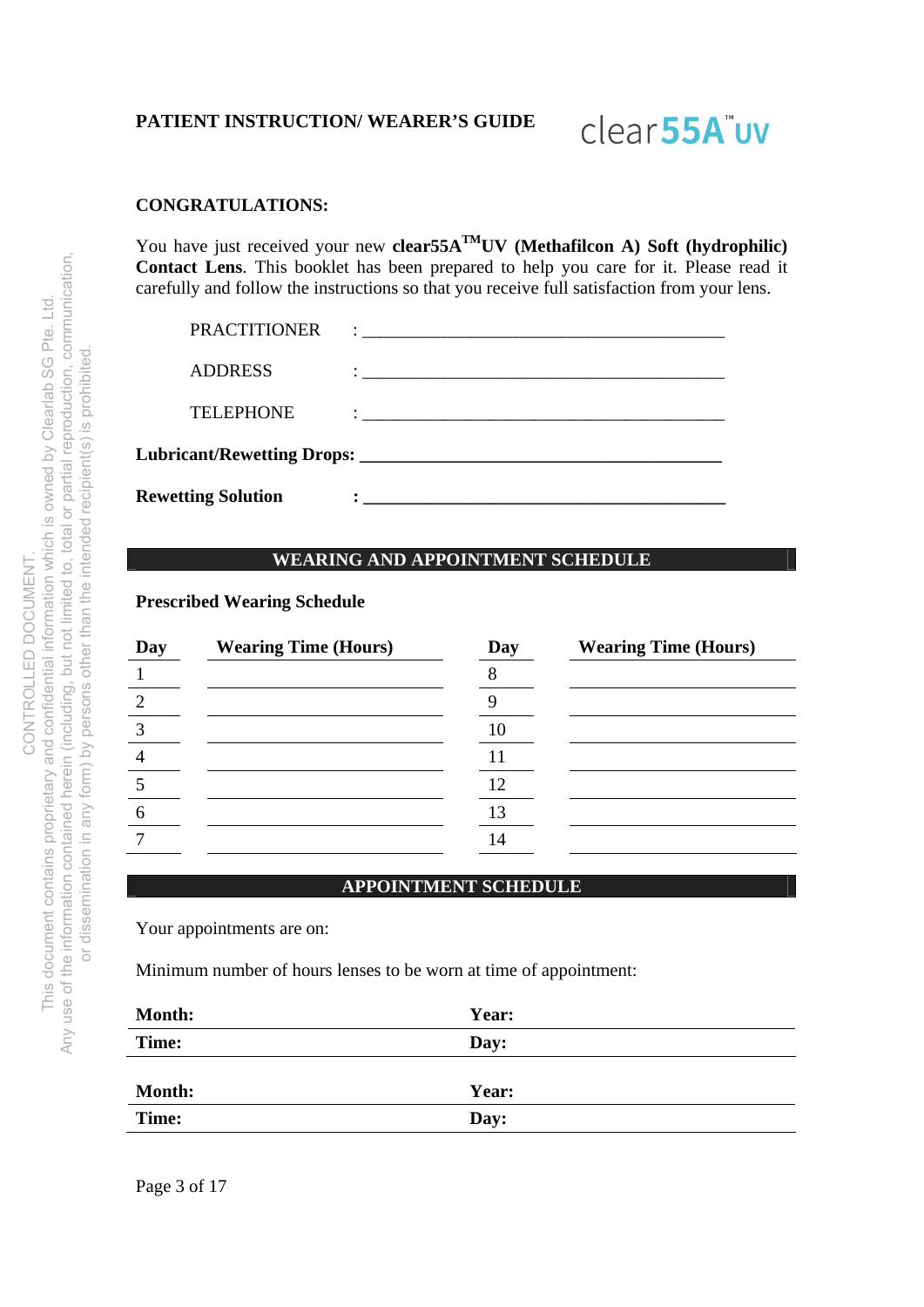# clear<sub>55A</sub>"uv

# **CONGRATULATIONS:**

You have just received your new **clear55A<sup>TM</sup>UV** (Methafilcon A) Soft (hydrophilic) **Contact Lens**. This booklet has been prepared to help you care for it. Please read it carefully and follow the instructions so that you receive full satisfaction from your lens.

| <b>Rewetting Solution</b>  |                                                                                                                                                                                                                                      |  |
|----------------------------|--------------------------------------------------------------------------------------------------------------------------------------------------------------------------------------------------------------------------------------|--|
| Lubricant/Rewetting Drops: |                                                                                                                                                                                                                                      |  |
| <b>TELEPHONE</b>           | $\ddot{\cdot}$ . The contract of the contract of the contract of the contract of the contract of the contract of the contract of the contract of the contract of the contract of the contract of the contract of the contract of th  |  |
| <b>ADDRESS</b>             | <u>: __________________________________</u>                                                                                                                                                                                          |  |
| <b>PRACTITIONER</b>        | <u> : a construction de la construction de la construction de la construction de la construction de la construction de la construction de la construction de la construction de la construction de la construction de la constru</u> |  |

#### **WEARING AND APPOINTMENT SCHEDULE**

#### **Prescribed Wearing Schedule**

| Day | <b>Wearing Time (Hours)</b> | Day | <b>Wearing Time (Hours)</b> |
|-----|-----------------------------|-----|-----------------------------|
|     |                             |     |                             |
| 2   |                             |     |                             |
| 3   |                             | 10  |                             |
|     |                             |     |                             |
|     |                             | 12  |                             |
| 6   |                             |     |                             |
|     |                             |     |                             |

#### **APPOINTMENT SCHEDULE**

Your appointments are on:

Minimum number of hours lenses to be worn at time of appointment:

| <b>Month:</b> | Year: |  |
|---------------|-------|--|
| Time:         | Day:  |  |
|               |       |  |
| <b>Month:</b> | Year: |  |
| Time:         | Day:  |  |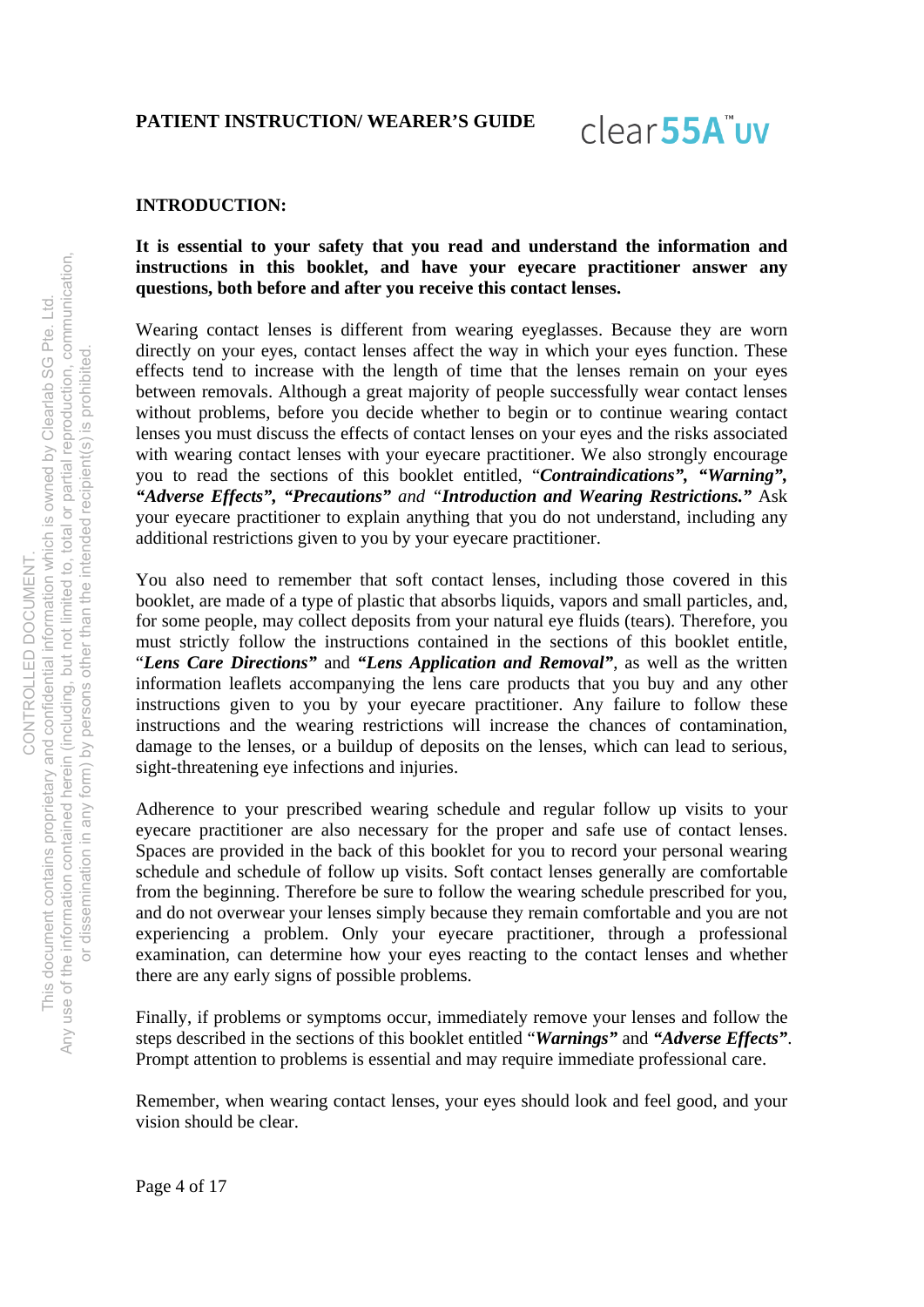clear55A"uv

#### **INTRODUCTION:**

## **It is essential to your safety that you read and understand the information and instructions in this booklet, and have your eyecare practitioner answer any questions, both before and after you receive this contact lenses.**

Wearing contact lenses is different from wearing eyeglasses. Because they are worn directly on your eyes, contact lenses affect the way in which your eyes function. These effects tend to increase with the length of time that the lenses remain on your eyes between removals. Although a great majority of people successfully wear contact lenses without problems, before you decide whether to begin or to continue wearing contact lenses you must discuss the effects of contact lenses on your eyes and the risks associated with wearing contact lenses with your eyecare practitioner. We also strongly encourage you to read the sections of this booklet entitled, "*Contraindications", "Warning", "Adverse Effects", "Precautions" and "Introduction and Wearing Restrictions."* Ask your eyecare practitioner to explain anything that you do not understand, including any additional restrictions given to you by your eyecare practitioner.

You also need to remember that soft contact lenses, including those covered in this booklet, are made of a type of plastic that absorbs liquids, vapors and small particles, and, for some people, may collect deposits from your natural eye fluids (tears). Therefore, you must strictly follow the instructions contained in the sections of this booklet entitle, "*Lens Care Directions"* and *"Lens Application and Removal"*, as well as the written information leaflets accompanying the lens care products that you buy and any other instructions given to you by your eyecare practitioner. Any failure to follow these instructions and the wearing restrictions will increase the chances of contamination, damage to the lenses, or a buildup of deposits on the lenses, which can lead to serious, sight-threatening eye infections and injuries.

Adherence to your prescribed wearing schedule and regular follow up visits to your eyecare practitioner are also necessary for the proper and safe use of contact lenses. Spaces are provided in the back of this booklet for you to record your personal wearing schedule and schedule of follow up visits. Soft contact lenses generally are comfortable from the beginning. Therefore be sure to follow the wearing schedule prescribed for you, and do not overwear your lenses simply because they remain comfortable and you are not experiencing a problem. Only your eyecare practitioner, through a professional examination, can determine how your eyes reacting to the contact lenses and whether there are any early signs of possible problems.

Finally, if problems or symptoms occur, immediately remove your lenses and follow the steps described in the sections of this booklet entitled "*Warnings"* and *"Adverse Effects"*. Prompt attention to problems is essential and may require immediate professional care.

Remember, when wearing contact lenses, your eyes should look and feel good, and your vision should be clear.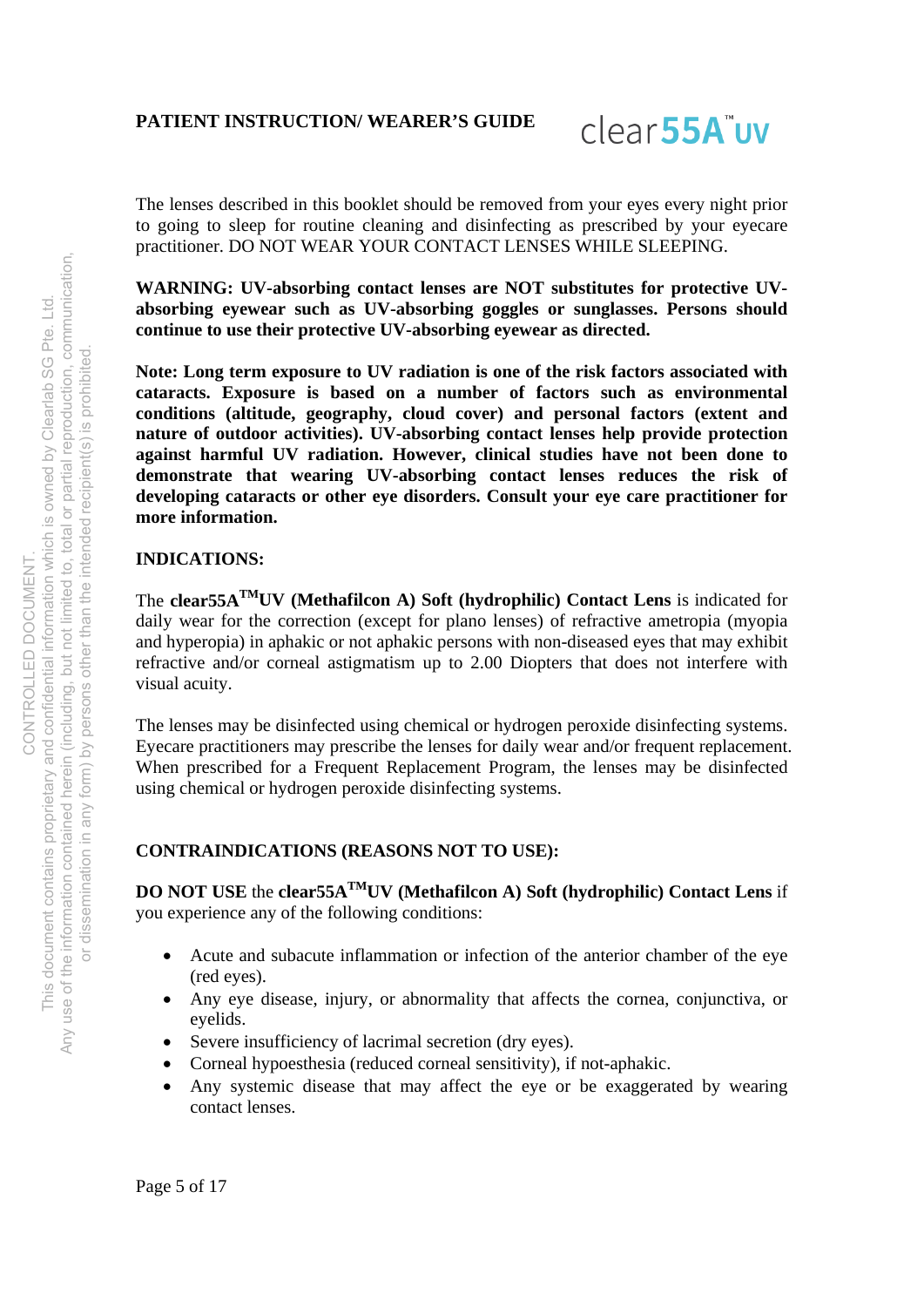

The lenses described in this booklet should be removed from your eyes every night prior to going to sleep for routine cleaning and disinfecting as prescribed by your eyecare practitioner. DO NOT WEAR YOUR CONTACT LENSES WHILE SLEEPING.

**WARNING: UV-absorbing contact lenses are NOT substitutes for protective UVabsorbing eyewear such as UV-absorbing goggles or sunglasses. Persons should continue to use their protective UV-absorbing eyewear as directed.** 

**Note: Long term exposure to UV radiation is one of the risk factors associated with cataracts. Exposure is based on a number of factors such as environmental conditions (altitude, geography, cloud cover) and personal factors (extent and nature of outdoor activities). UV-absorbing contact lenses help provide protection against harmful UV radiation. However, clinical studies have not been done to demonstrate that wearing UV-absorbing contact lenses reduces the risk of developing cataracts or other eye disorders. Consult your eye care practitioner for more information.** 

### **INDICATIONS:**

The **clear55ATMUV (Methafilcon A) Soft (hydrophilic) Contact Lens** is indicated for daily wear for the correction (except for plano lenses) of refractive ametropia (myopia and hyperopia) in aphakic or not aphakic persons with non-diseased eyes that may exhibit refractive and/or corneal astigmatism up to 2.00 Diopters that does not interfere with visual acuity.

The lenses may be disinfected using chemical or hydrogen peroxide disinfecting systems. Eyecare practitioners may prescribe the lenses for daily wear and/or frequent replacement. When prescribed for a Frequent Replacement Program, the lenses may be disinfected using chemical or hydrogen peroxide disinfecting systems.

### **CONTRAINDICATIONS (REASONS NOT TO USE):**

**DO NOT USE** the **clear55ATMUV (Methafilcon A) Soft (hydrophilic) Contact Lens** if you experience any of the following conditions:

- Acute and subacute inflammation or infection of the anterior chamber of the eye (red eyes).
- Any eye disease, injury, or abnormality that affects the cornea, conjunctiva, or eyelids.
- Severe insufficiency of lacrimal secretion (dry eyes).
- Corneal hypoesthesia (reduced corneal sensitivity), if not-aphakic.
- Any systemic disease that may affect the eye or be exaggerated by wearing contact lenses.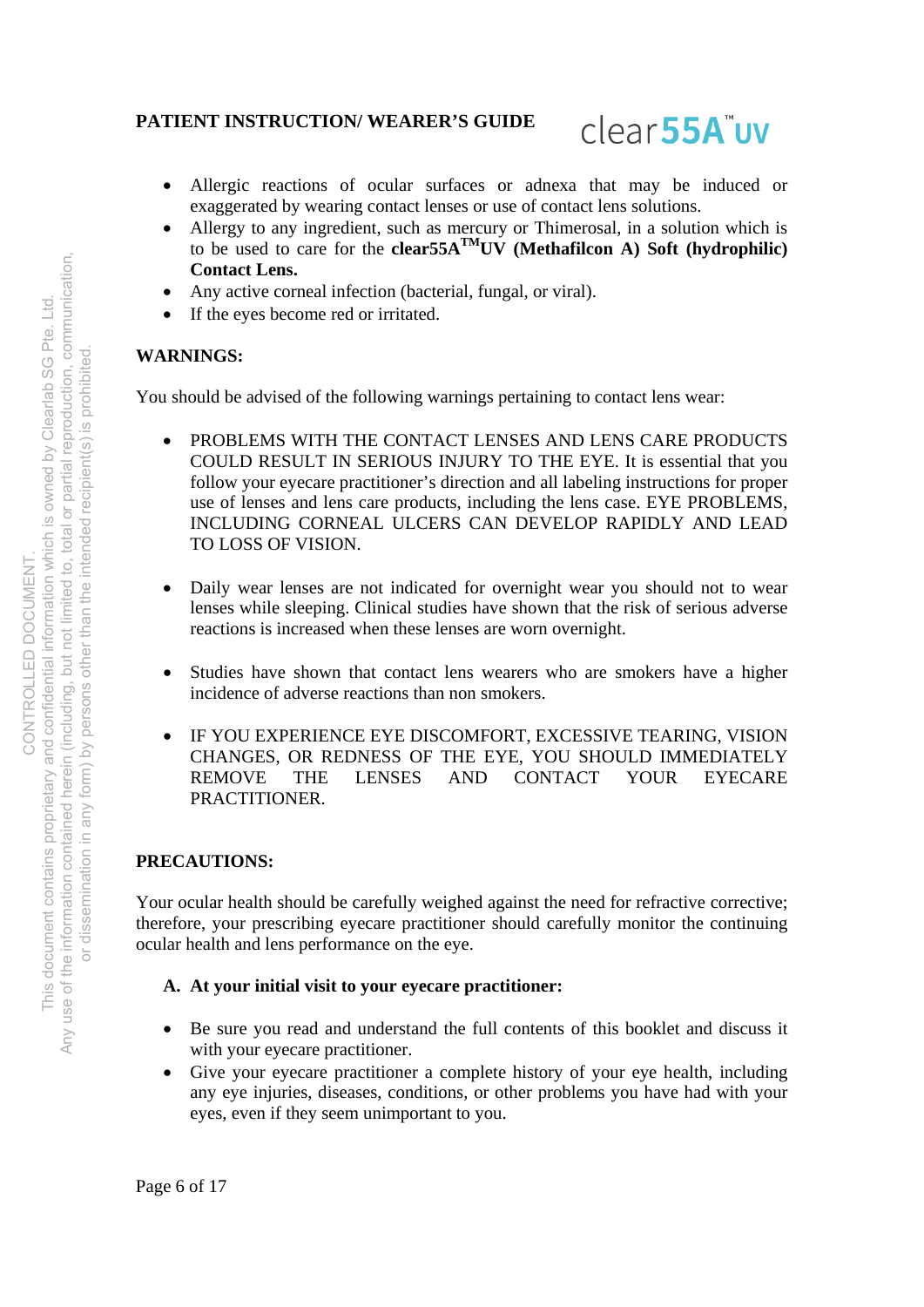# clear<sub>55A</sub>"uv

- Allergic reactions of ocular surfaces or adnexa that may be induced or exaggerated by wearing contact lenses or use of contact lens solutions.
- Allergy to any ingredient, such as mercury or Thimerosal, in a solution which is to be used to care for the **clear55A<sup>TM</sup>UV** (Methafilcon A) Soft (hydrophilic) **Contact Lens.**
- Any active corneal infection (bacterial, fungal, or viral).
- If the eyes become red or irritated.

# **WARNINGS:**

You should be advised of the following warnings pertaining to contact lens wear:

- PROBLEMS WITH THE CONTACT LENSES AND LENS CARE PRODUCTS COULD RESULT IN SERIOUS INJURY TO THE EYE. It is essential that you follow your eyecare practitioner's direction and all labeling instructions for proper use of lenses and lens care products, including the lens case. EYE PROBLEMS, INCLUDING CORNEAL ULCERS CAN DEVELOP RAPIDLY AND LEAD TO LOSS OF VISION.
- Daily wear lenses are not indicated for overnight wear you should not to wear lenses while sleeping. Clinical studies have shown that the risk of serious adverse reactions is increased when these lenses are worn overnight.
- Studies have shown that contact lens wearers who are smokers have a higher incidence of adverse reactions than non smokers.
- IF YOU EXPERIENCE EYE DISCOMFORT, EXCESSIVE TEARING, VISION CHANGES, OR REDNESS OF THE EYE, YOU SHOULD IMMEDIATELY REMOVE THE LENSES AND CONTACT YOUR EYECARE PRACTITIONER.

# **PRECAUTIONS:**

Your ocular health should be carefully weighed against the need for refractive corrective; therefore, your prescribing eyecare practitioner should carefully monitor the continuing ocular health and lens performance on the eye.

### **A. At your initial visit to your eyecare practitioner:**

- Be sure you read and understand the full contents of this booklet and discuss it with your eyecare practitioner.
- Give your eyecare practitioner a complete history of your eye health, including any eye injuries, diseases, conditions, or other problems you have had with your eyes, even if they seem unimportant to you.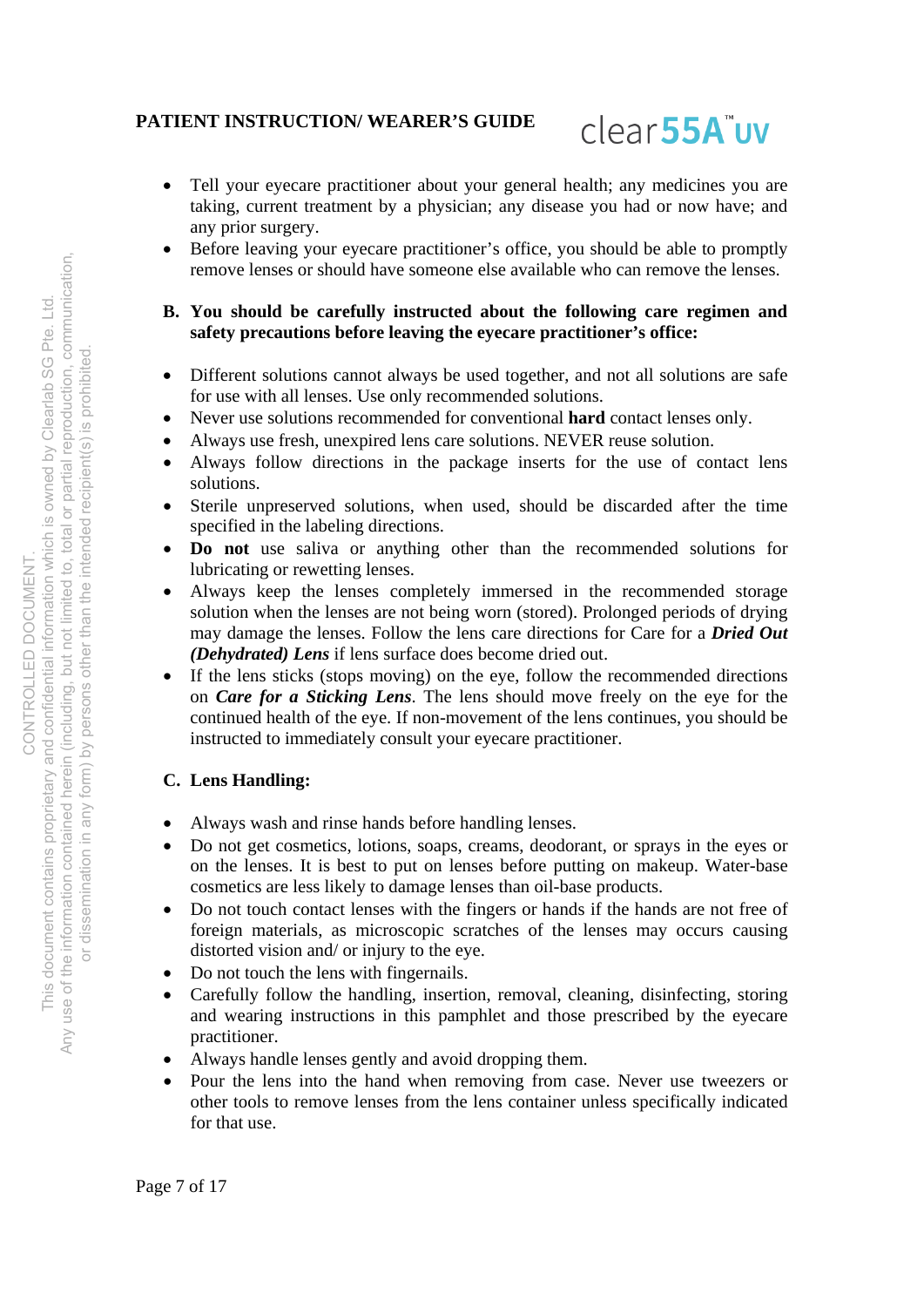

- Tell your eyecare practitioner about your general health; any medicines you are taking, current treatment by a physician; any disease you had or now have; and any prior surgery.
- Before leaving your eyecare practitioner's office, you should be able to promptly remove lenses or should have someone else available who can remove the lenses.

#### **B. You should be carefully instructed about the following care regimen and safety precautions before leaving the eyecare practitioner's office:**

- Different solutions cannot always be used together, and not all solutions are safe for use with all lenses. Use only recommended solutions.
- Never use solutions recommended for conventional **hard** contact lenses only.
- Always use fresh, unexpired lens care solutions. NEVER reuse solution.
- Always follow directions in the package inserts for the use of contact lens solutions.
- Sterile unpreserved solutions, when used, should be discarded after the time specified in the labeling directions.
- **Do not** use saliva or anything other than the recommended solutions for lubricating or rewetting lenses.
- Always keep the lenses completely immersed in the recommended storage solution when the lenses are not being worn (stored). Prolonged periods of drying may damage the lenses. Follow the lens care directions for Care for a *Dried Out (Dehydrated) Lens* if lens surface does become dried out.
- If the lens sticks (stops moving) on the eye, follow the recommended directions on *Care for a Sticking Lens*. The lens should move freely on the eye for the continued health of the eye. If non-movement of the lens continues, you should be instructed to immediately consult your eyecare practitioner.

# **C. Lens Handling:**

- Always wash and rinse hands before handling lenses.
- Do not get cosmetics, lotions, soaps, creams, deodorant, or sprays in the eyes or on the lenses. It is best to put on lenses before putting on makeup. Water-base cosmetics are less likely to damage lenses than oil-base products.
- Do not touch contact lenses with the fingers or hands if the hands are not free of foreign materials, as microscopic scratches of the lenses may occurs causing distorted vision and/ or injury to the eye.
- Do not touch the lens with fingernails.
- Carefully follow the handling, insertion, removal, cleaning, disinfecting, storing and wearing instructions in this pamphlet and those prescribed by the eyecare practitioner.
- Always handle lenses gently and avoid dropping them.
- Pour the lens into the hand when removing from case. Never use tweezers or other tools to remove lenses from the lens container unless specifically indicated for that use.

Page 7 of 17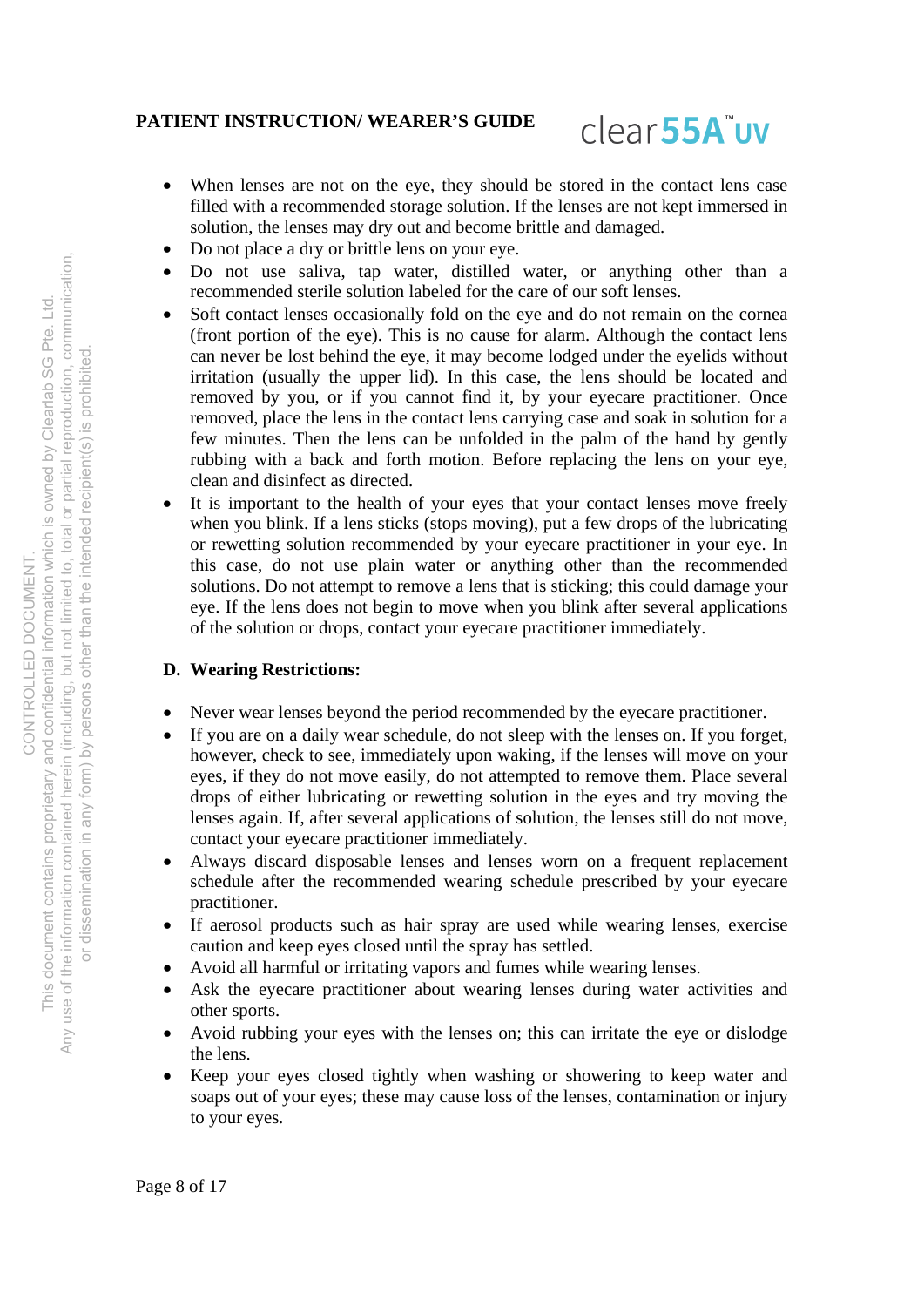# clear<sub>55A</sub>"uv

- When lenses are not on the eye, they should be stored in the contact lens case filled with a recommended storage solution. If the lenses are not kept immersed in solution, the lenses may dry out and become brittle and damaged.
- Do not place a dry or brittle lens on your eye.
- Do not use saliva, tap water, distilled water, or anything other than a recommended sterile solution labeled for the care of our soft lenses.
- Soft contact lenses occasionally fold on the eye and do not remain on the cornea (front portion of the eye). This is no cause for alarm. Although the contact lens can never be lost behind the eye, it may become lodged under the eyelids without irritation (usually the upper lid). In this case, the lens should be located and removed by you, or if you cannot find it, by your eyecare practitioner. Once removed, place the lens in the contact lens carrying case and soak in solution for a few minutes. Then the lens can be unfolded in the palm of the hand by gently rubbing with a back and forth motion. Before replacing the lens on your eye, clean and disinfect as directed.
- It is important to the health of your eyes that your contact lenses move freely when you blink. If a lens sticks (stops moving), put a few drops of the lubricating or rewetting solution recommended by your eyecare practitioner in your eye. In this case, do not use plain water or anything other than the recommended solutions. Do not attempt to remove a lens that is sticking; this could damage your eye. If the lens does not begin to move when you blink after several applications of the solution or drops, contact your eyecare practitioner immediately.

# **D. Wearing Restrictions:**

- Never wear lenses beyond the period recommended by the eyecare practitioner.
- If you are on a daily wear schedule, do not sleep with the lenses on. If you forget, however, check to see, immediately upon waking, if the lenses will move on your eyes, if they do not move easily, do not attempted to remove them. Place several drops of either lubricating or rewetting solution in the eyes and try moving the lenses again. If, after several applications of solution, the lenses still do not move, contact your eyecare practitioner immediately.
- Always discard disposable lenses and lenses worn on a frequent replacement schedule after the recommended wearing schedule prescribed by your eyecare practitioner.
- If aerosol products such as hair spray are used while wearing lenses, exercise caution and keep eyes closed until the spray has settled.
- Avoid all harmful or irritating vapors and fumes while wearing lenses.
- Ask the eyecare practitioner about wearing lenses during water activities and other sports.
- Avoid rubbing your eyes with the lenses on; this can irritate the eye or dislodge the lens.
- Keep your eyes closed tightly when washing or showering to keep water and soaps out of your eyes; these may cause loss of the lenses, contamination or injury to your eyes.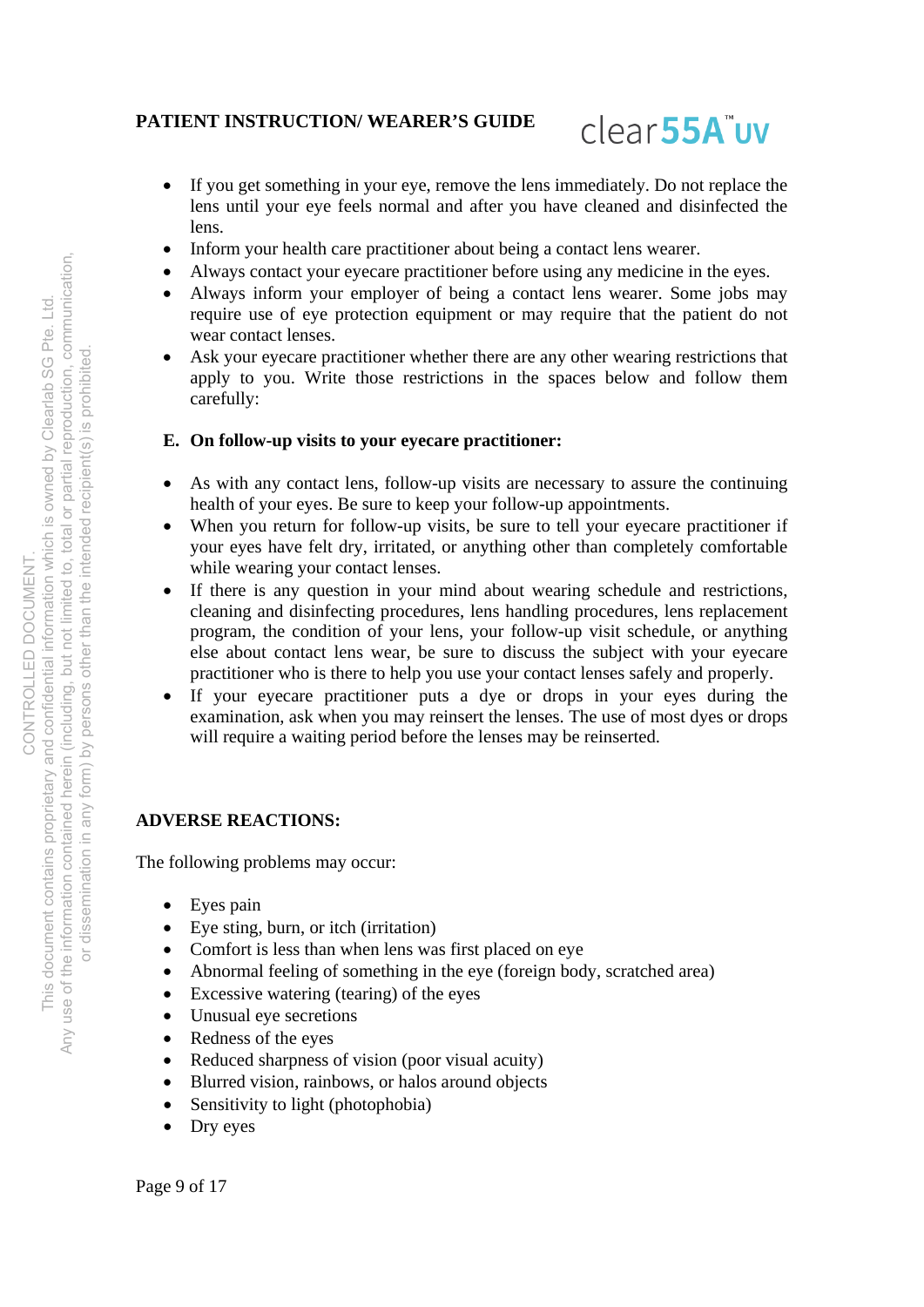# clear<sub>55A</sub>"uv

- If you get something in your eye, remove the lens immediately. Do not replace the lens until your eye feels normal and after you have cleaned and disinfected the lens.
- Inform your health care practitioner about being a contact lens wearer.
- Always contact your eyecare practitioner before using any medicine in the eyes.
- Always inform your employer of being a contact lens wearer. Some jobs may require use of eye protection equipment or may require that the patient do not wear contact lenses.
- Ask your eyecare practitioner whether there are any other wearing restrictions that apply to you. Write those restrictions in the spaces below and follow them carefully:

### **E. On follow-up visits to your eyecare practitioner:**

- As with any contact lens, follow-up visits are necessary to assure the continuing health of your eyes. Be sure to keep your follow-up appointments.
- When you return for follow-up visits, be sure to tell your eyecare practitioner if your eyes have felt dry, irritated, or anything other than completely comfortable while wearing your contact lenses.
- If there is any question in your mind about wearing schedule and restrictions, cleaning and disinfecting procedures, lens handling procedures, lens replacement program, the condition of your lens, your follow-up visit schedule, or anything else about contact lens wear, be sure to discuss the subject with your eyecare practitioner who is there to help you use your contact lenses safely and properly.
- If your eyecare practitioner puts a dye or drops in your eyes during the examination, ask when you may reinsert the lenses. The use of most dyes or drops will require a waiting period before the lenses may be reinserted.

# **ADVERSE REACTIONS:**

The following problems may occur:

- Eyes pain
- Eye sting, burn, or itch (irritation)
- Comfort is less than when lens was first placed on eye
- Abnormal feeling of something in the eye (foreign body, scratched area)
- Excessive watering (tearing) of the eyes
- Unusual eye secretions
- Redness of the eyes
- Reduced sharpness of vision (poor visual acuity)
- Blurred vision, rainbows, or halos around objects
- Sensitivity to light (photophobia)
- Dry eyes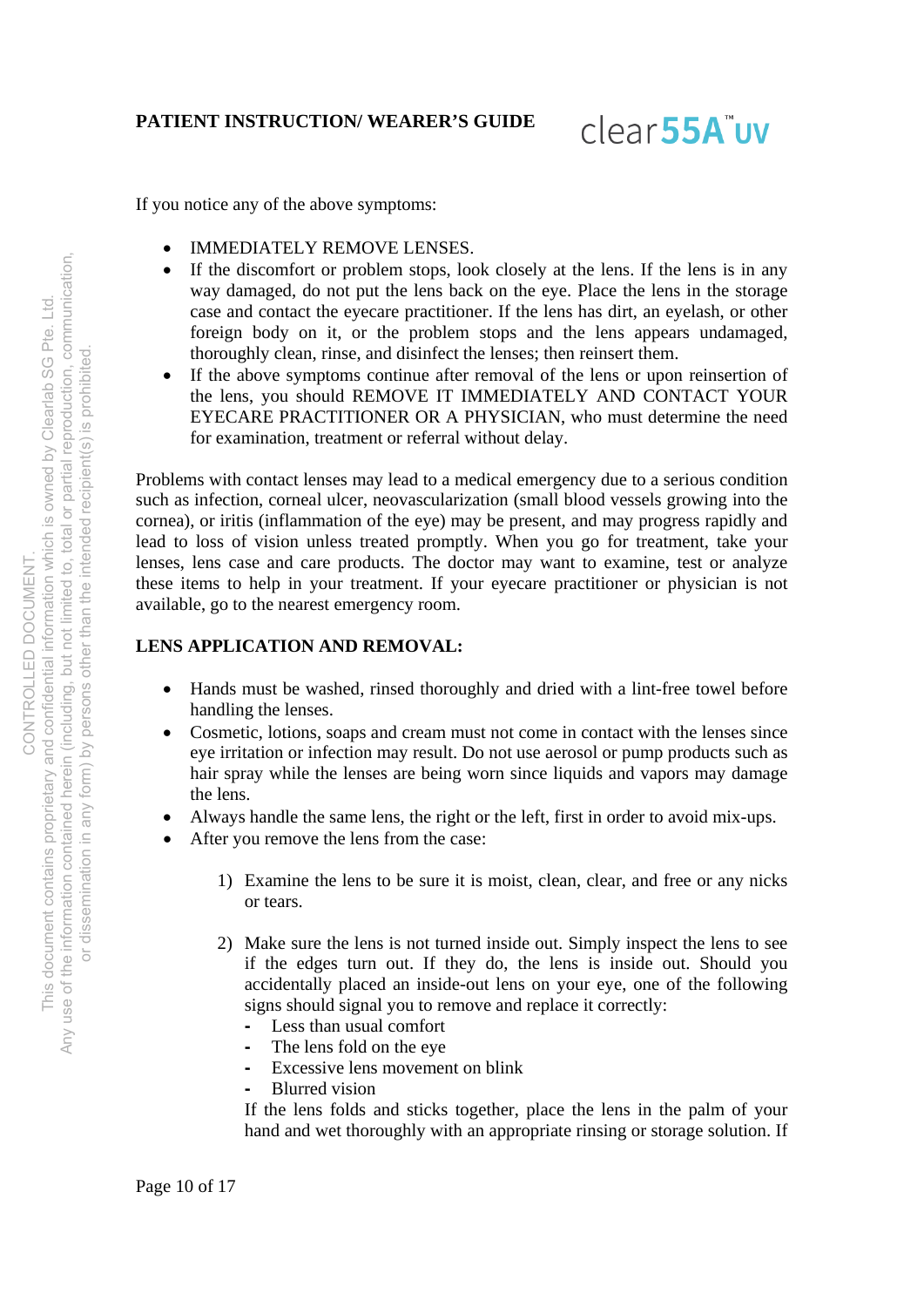clear<sub>55A</sub>"uv

If you notice any of the above symptoms:

- IMMEDIATELY REMOVE LENSES.
- If the discomfort or problem stops, look closely at the lens. If the lens is in any way damaged, do not put the lens back on the eye. Place the lens in the storage case and contact the eyecare practitioner. If the lens has dirt, an eyelash, or other foreign body on it, or the problem stops and the lens appears undamaged, thoroughly clean, rinse, and disinfect the lenses; then reinsert them.
- If the above symptoms continue after removal of the lens or upon reinsertion of the lens, you should REMOVE IT IMMEDIATELY AND CONTACT YOUR EYECARE PRACTITIONER OR A PHYSICIAN, who must determine the need for examination, treatment or referral without delay.

Problems with contact lenses may lead to a medical emergency due to a serious condition such as infection, corneal ulcer, neovascularization (small blood vessels growing into the cornea), or iritis (inflammation of the eye) may be present, and may progress rapidly and lead to loss of vision unless treated promptly. When you go for treatment, take your lenses, lens case and care products. The doctor may want to examine, test or analyze these items to help in your treatment. If your eyecare practitioner or physician is not available, go to the nearest emergency room.

# **LENS APPLICATION AND REMOVAL:**

- Hands must be washed, rinsed thoroughly and dried with a lint-free towel before handling the lenses.
- Cosmetic, lotions, soaps and cream must not come in contact with the lenses since eye irritation or infection may result. Do not use aerosol or pump products such as hair spray while the lenses are being worn since liquids and vapors may damage the lens.
- Always handle the same lens, the right or the left, first in order to avoid mix-ups.
- After you remove the lens from the case:
	- 1) Examine the lens to be sure it is moist, clean, clear, and free or any nicks or tears.
	- 2) Make sure the lens is not turned inside out. Simply inspect the lens to see if the edges turn out. If they do, the lens is inside out. Should you accidentally placed an inside-out lens on your eye, one of the following signs should signal you to remove and replace it correctly:
		- Less than usual comfort
		- The lens fold on the eye
		- Excessive lens movement on blink
		- Blurred vision

If the lens folds and sticks together, place the lens in the palm of your hand and wet thoroughly with an appropriate rinsing or storage solution. If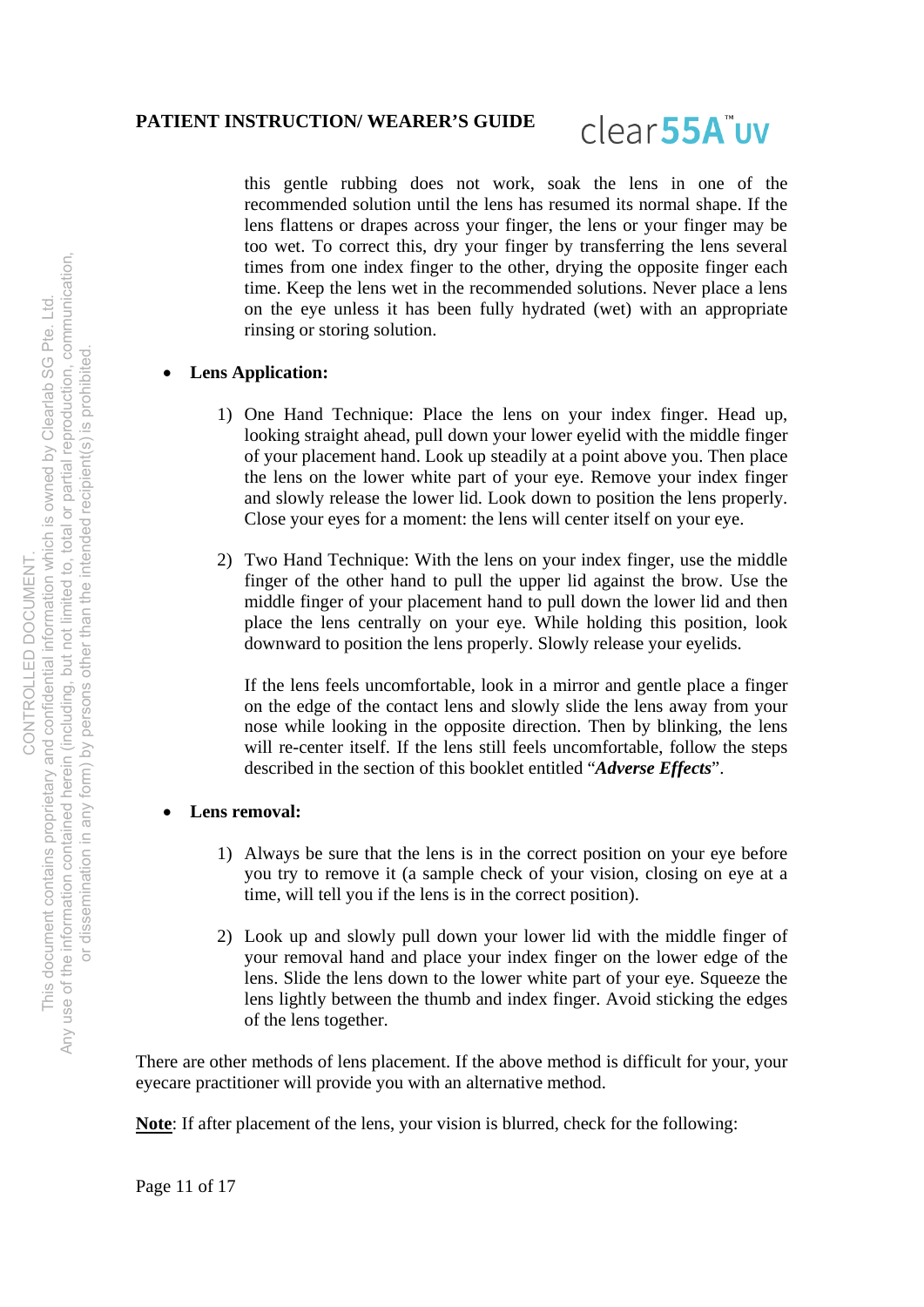

this gentle rubbing does not work, soak the lens in one of the recommended solution until the lens has resumed its normal shape. If the lens flattens or drapes across your finger, the lens or your finger may be too wet. To correct this, dry your finger by transferring the lens several times from one index finger to the other, drying the opposite finger each time. Keep the lens wet in the recommended solutions. Never place a lens on the eye unless it has been fully hydrated (wet) with an appropriate rinsing or storing solution.

#### **Lens Application:**

- 1) One Hand Technique: Place the lens on your index finger. Head up, looking straight ahead, pull down your lower eyelid with the middle finger of your placement hand. Look up steadily at a point above you. Then place the lens on the lower white part of your eye. Remove your index finger and slowly release the lower lid. Look down to position the lens properly. Close your eyes for a moment: the lens will center itself on your eye.
- 2) Two Hand Technique: With the lens on your index finger, use the middle finger of the other hand to pull the upper lid against the brow. Use the middle finger of your placement hand to pull down the lower lid and then place the lens centrally on your eye. While holding this position, look downward to position the lens properly. Slowly release your eyelids.

If the lens feels uncomfortable, look in a mirror and gentle place a finger on the edge of the contact lens and slowly slide the lens away from your nose while looking in the opposite direction. Then by blinking, the lens will re-center itself. If the lens still feels uncomfortable, follow the steps described in the section of this booklet entitled "*Adverse Effects*".

#### **Lens removal:**

- 1) Always be sure that the lens is in the correct position on your eye before you try to remove it (a sample check of your vision, closing on eye at a time, will tell you if the lens is in the correct position).
- 2) Look up and slowly pull down your lower lid with the middle finger of your removal hand and place your index finger on the lower edge of the lens. Slide the lens down to the lower white part of your eye. Squeeze the lens lightly between the thumb and index finger. Avoid sticking the edges of the lens together.

There are other methods of lens placement. If the above method is difficult for your, your eyecare practitioner will provide you with an alternative method.

**Note**: If after placement of the lens, your vision is blurred, check for the following: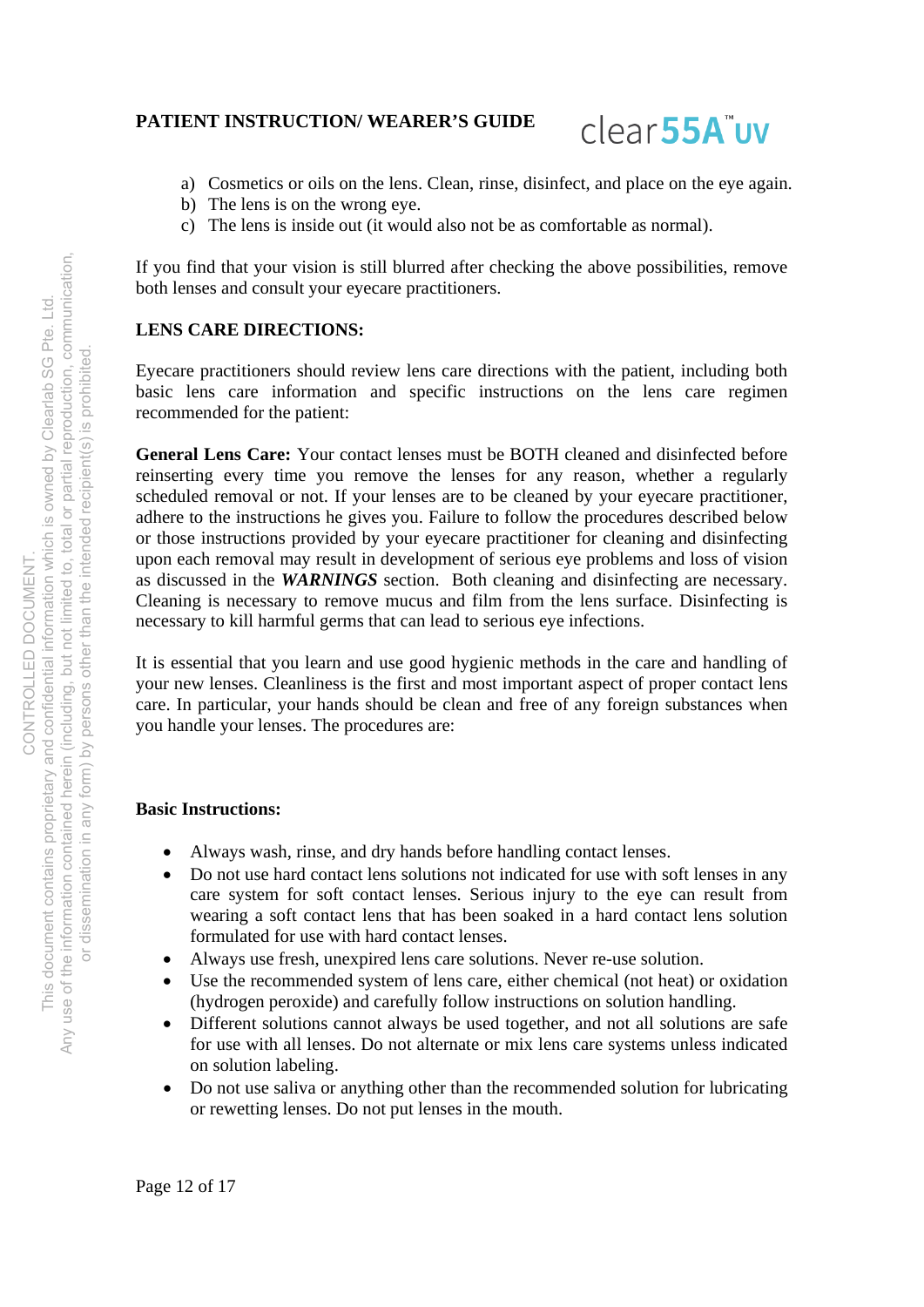

- a) Cosmetics or oils on the lens. Clean, rinse, disinfect, and place on the eye again.
- b) The lens is on the wrong eye.
- c) The lens is inside out (it would also not be as comfortable as normal).

If you find that your vision is still blurred after checking the above possibilities, remove both lenses and consult your eyecare practitioners.

# **LENS CARE DIRECTIONS:**

Eyecare practitioners should review lens care directions with the patient, including both basic lens care information and specific instructions on the lens care regimen recommended for the patient:

**General Lens Care:** Your contact lenses must be BOTH cleaned and disinfected before reinserting every time you remove the lenses for any reason, whether a regularly scheduled removal or not. If your lenses are to be cleaned by your eyecare practitioner, adhere to the instructions he gives you. Failure to follow the procedures described below or those instructions provided by your eyecare practitioner for cleaning and disinfecting upon each removal may result in development of serious eye problems and loss of vision as discussed in the *WARNINGS* section. Both cleaning and disinfecting are necessary. Cleaning is necessary to remove mucus and film from the lens surface. Disinfecting is necessary to kill harmful germs that can lead to serious eye infections.

It is essential that you learn and use good hygienic methods in the care and handling of your new lenses. Cleanliness is the first and most important aspect of proper contact lens care. In particular, your hands should be clean and free of any foreign substances when you handle your lenses. The procedures are:

### **Basic Instructions:**

- Always wash, rinse, and dry hands before handling contact lenses.
- Do not use hard contact lens solutions not indicated for use with soft lenses in any care system for soft contact lenses. Serious injury to the eye can result from wearing a soft contact lens that has been soaked in a hard contact lens solution formulated for use with hard contact lenses.
- Always use fresh, unexpired lens care solutions. Never re-use solution.
- Use the recommended system of lens care, either chemical (not heat) or oxidation (hydrogen peroxide) and carefully follow instructions on solution handling.
- Different solutions cannot always be used together, and not all solutions are safe for use with all lenses. Do not alternate or mix lens care systems unless indicated on solution labeling.
- Do not use saliva or anything other than the recommended solution for lubricating or rewetting lenses. Do not put lenses in the mouth.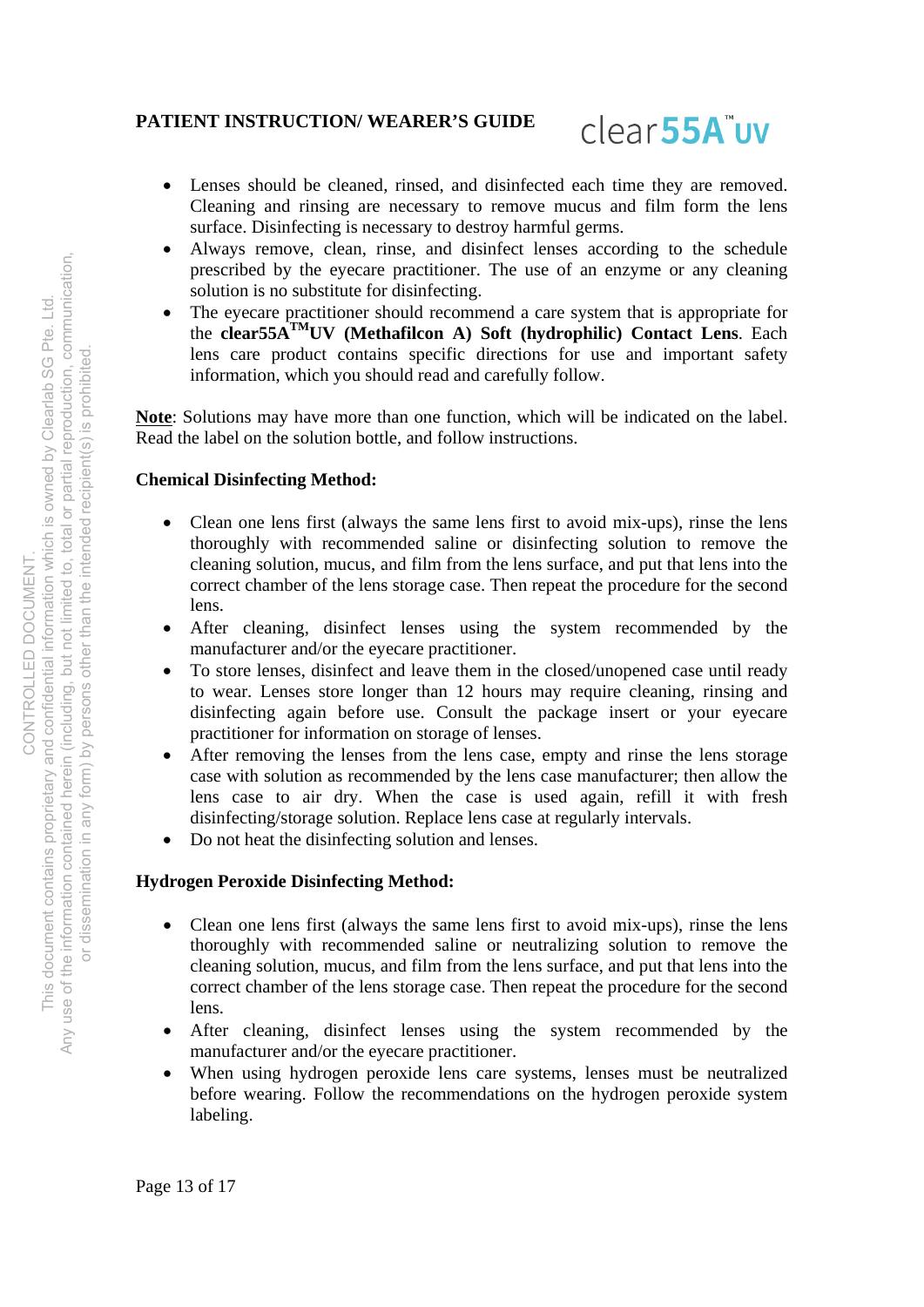

- Lenses should be cleaned, rinsed, and disinfected each time they are removed. Cleaning and rinsing are necessary to remove mucus and film form the lens surface. Disinfecting is necessary to destroy harmful germs.
- Always remove, clean, rinse, and disinfect lenses according to the schedule prescribed by the eyecare practitioner. The use of an enzyme or any cleaning solution is no substitute for disinfecting.
- The eyecare practitioner should recommend a care system that is appropriate for the **clear55ATMUV (Methafilcon A) Soft (hydrophilic) Contact Lens**. Each lens care product contains specific directions for use and important safety information, which you should read and carefully follow.

**Note**: Solutions may have more than one function, which will be indicated on the label. Read the label on the solution bottle, and follow instructions.

### **Chemical Disinfecting Method:**

- Clean one lens first (always the same lens first to avoid mix-ups), rinse the lens thoroughly with recommended saline or disinfecting solution to remove the cleaning solution, mucus, and film from the lens surface, and put that lens into the correct chamber of the lens storage case. Then repeat the procedure for the second lens.
- After cleaning, disinfect lenses using the system recommended by the manufacturer and/or the eyecare practitioner.
- To store lenses, disinfect and leave them in the closed/unopened case until ready to wear. Lenses store longer than 12 hours may require cleaning, rinsing and disinfecting again before use. Consult the package insert or your eyecare practitioner for information on storage of lenses.
- After removing the lenses from the lens case, empty and rinse the lens storage case with solution as recommended by the lens case manufacturer; then allow the lens case to air dry. When the case is used again, refill it with fresh disinfecting/storage solution. Replace lens case at regularly intervals.
- Do not heat the disinfecting solution and lenses.

# **Hydrogen Peroxide Disinfecting Method:**

- Clean one lens first (always the same lens first to avoid mix-ups), rinse the lens thoroughly with recommended saline or neutralizing solution to remove the cleaning solution, mucus, and film from the lens surface, and put that lens into the correct chamber of the lens storage case. Then repeat the procedure for the second lens.
- After cleaning, disinfect lenses using the system recommended by the manufacturer and/or the eyecare practitioner.
- When using hydrogen peroxide lens care systems, lenses must be neutralized before wearing. Follow the recommendations on the hydrogen peroxide system labeling.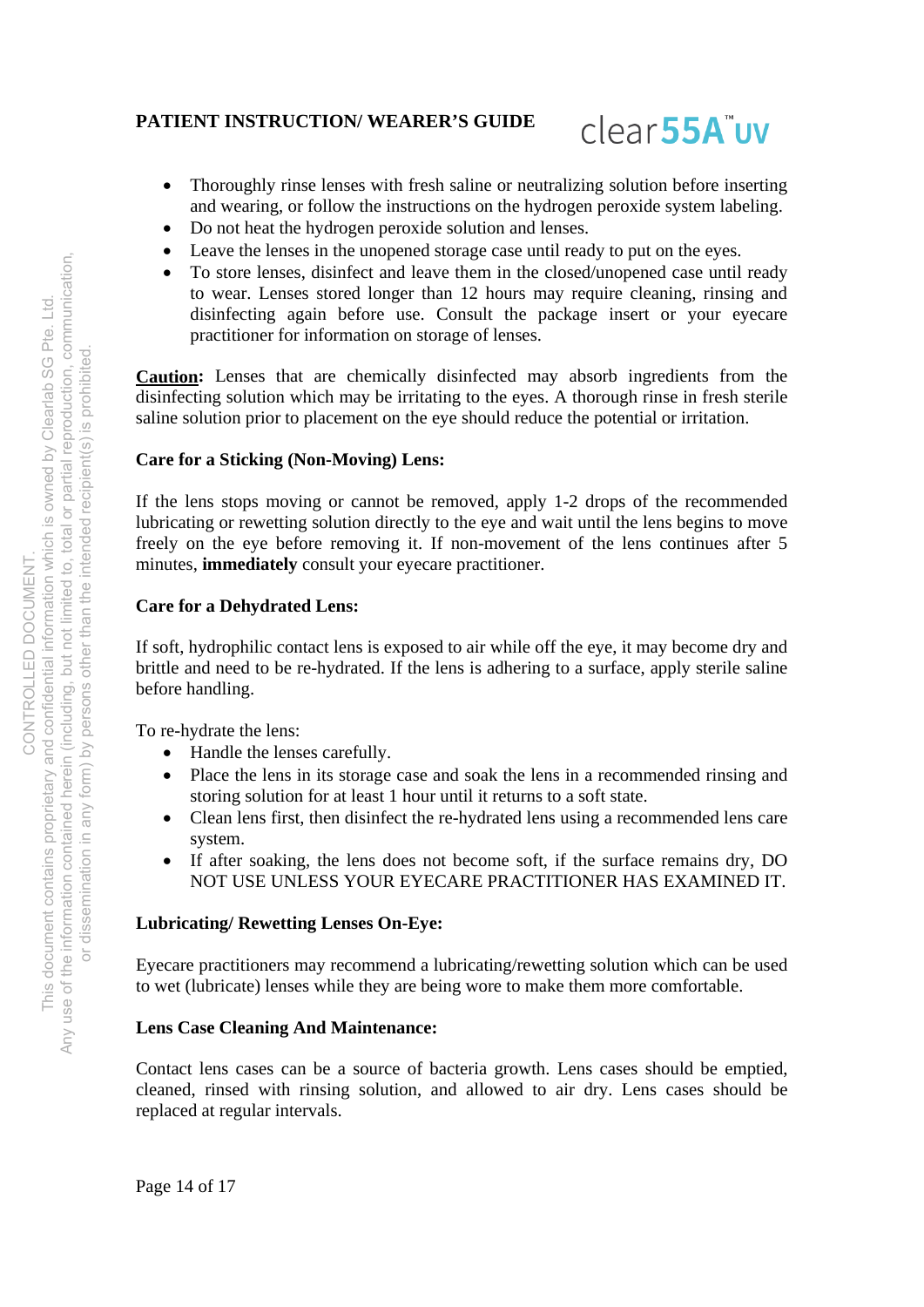

- Thoroughly rinse lenses with fresh saline or neutralizing solution before inserting and wearing, or follow the instructions on the hydrogen peroxide system labeling.
- Do not heat the hydrogen peroxide solution and lenses.
- Leave the lenses in the unopened storage case until ready to put on the eyes.
- To store lenses, disinfect and leave them in the closed/unopened case until ready to wear. Lenses stored longer than 12 hours may require cleaning, rinsing and disinfecting again before use. Consult the package insert or your eyecare practitioner for information on storage of lenses.

**Caution:** Lenses that are chemically disinfected may absorb ingredients from the disinfecting solution which may be irritating to the eyes. A thorough rinse in fresh sterile saline solution prior to placement on the eye should reduce the potential or irritation.

# **Care for a Sticking (Non-Moving) Lens:**

If the lens stops moving or cannot be removed, apply 1-2 drops of the recommended lubricating or rewetting solution directly to the eye and wait until the lens begins to move freely on the eye before removing it. If non-movement of the lens continues after 5 minutes, **immediately** consult your eyecare practitioner.

### **Care for a Dehydrated Lens:**

If soft, hydrophilic contact lens is exposed to air while off the eye, it may become dry and brittle and need to be re-hydrated. If the lens is adhering to a surface, apply sterile saline before handling.

To re-hydrate the lens:

- Handle the lenses carefully.
- Place the lens in its storage case and soak the lens in a recommended rinsing and storing solution for at least 1 hour until it returns to a soft state.
- Clean lens first, then disinfect the re-hydrated lens using a recommended lens care system.
- If after soaking, the lens does not become soft, if the surface remains dry, DO NOT USE UNLESS YOUR EYECARE PRACTITIONER HAS EXAMINED IT.

### **Lubricating/ Rewetting Lenses On-Eye:**

Eyecare practitioners may recommend a lubricating/rewetting solution which can be used to wet (lubricate) lenses while they are being wore to make them more comfortable.

### **Lens Case Cleaning And Maintenance:**

Contact lens cases can be a source of bacteria growth. Lens cases should be emptied, cleaned, rinsed with rinsing solution, and allowed to air dry. Lens cases should be replaced at regular intervals.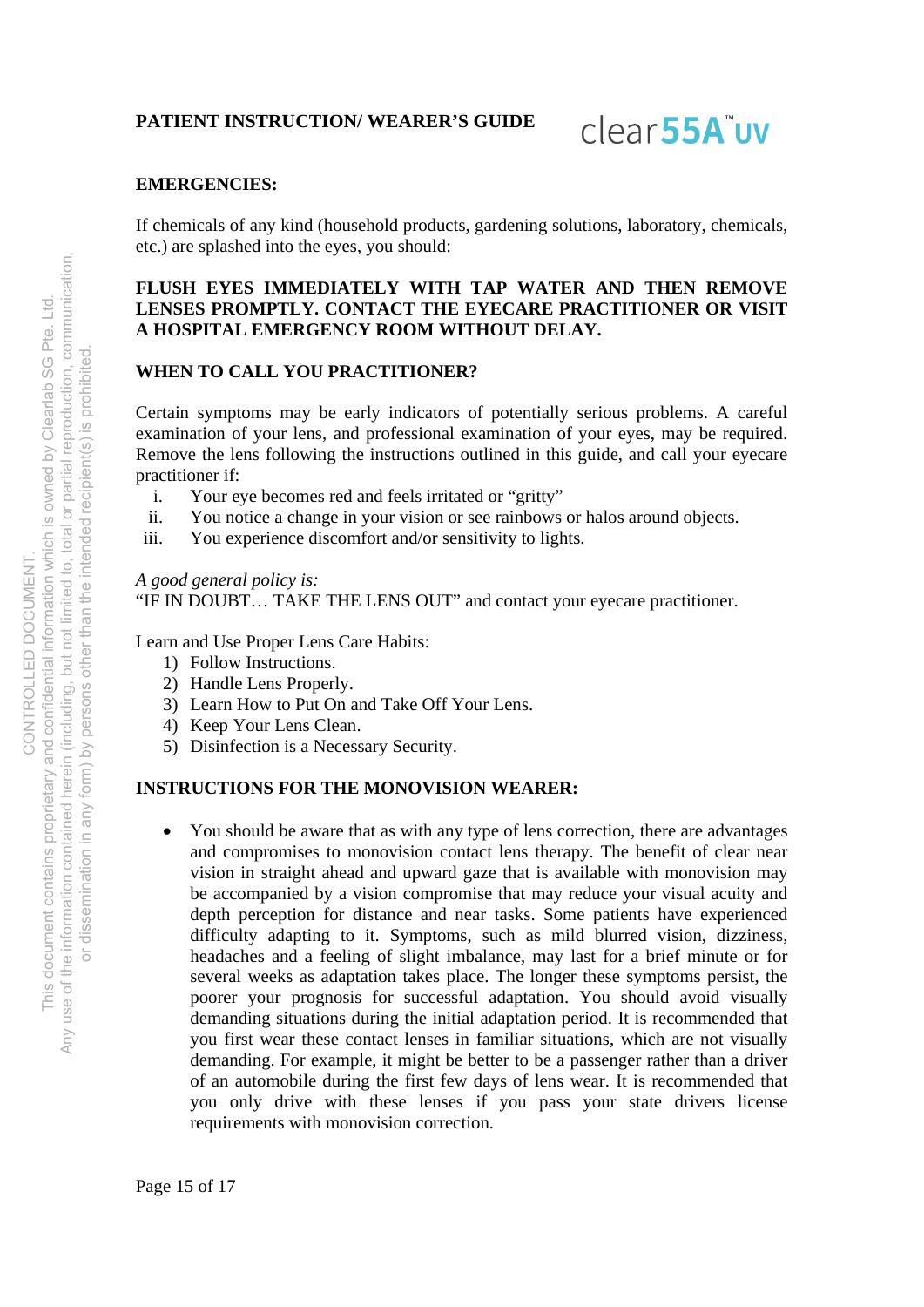clear<sub>55A</sub>"uv

### **EMERGENCIES:**

If chemicals of any kind (household products, gardening solutions, laboratory, chemicals, etc.) are splashed into the eyes, you should:

## **FLUSH EYES IMMEDIATELY WITH TAP WATER AND THEN REMOVE LENSES PROMPTLY. CONTACT THE EYECARE PRACTITIONER OR VISIT A HOSPITAL EMERGENCY ROOM WITHOUT DELAY.**

# **WHEN TO CALL YOU PRACTITIONER?**

Certain symptoms may be early indicators of potentially serious problems. A careful examination of your lens, and professional examination of your eyes, may be required. Remove the lens following the instructions outlined in this guide, and call your eyecare practitioner if:

- i. Your eye becomes red and feels irritated or "gritty"
- ii. You notice a change in your vision or see rainbows or halos around objects.
- iii. You experience discomfort and/or sensitivity to lights.

### *A good general policy is:*

"IF IN DOUBT… TAKE THE LENS OUT" and contact your eyecare practitioner.

Learn and Use Proper Lens Care Habits:

- 1) Follow Instructions.
- 2) Handle Lens Properly.
- 3) Learn How to Put On and Take Off Your Lens.
- 4) Keep Your Lens Clean.
- 5) Disinfection is a Necessary Security.

### **INSTRUCTIONS FOR THE MONOVISION WEARER:**

 You should be aware that as with any type of lens correction, there are advantages and compromises to monovision contact lens therapy. The benefit of clear near vision in straight ahead and upward gaze that is available with monovision may be accompanied by a vision compromise that may reduce your visual acuity and depth perception for distance and near tasks. Some patients have experienced difficulty adapting to it. Symptoms, such as mild blurred vision, dizziness, headaches and a feeling of slight imbalance, may last for a brief minute or for several weeks as adaptation takes place. The longer these symptoms persist, the poorer your prognosis for successful adaptation. You should avoid visually demanding situations during the initial adaptation period. It is recommended that you first wear these contact lenses in familiar situations, which are not visually demanding. For example, it might be better to be a passenger rather than a driver of an automobile during the first few days of lens wear. It is recommended that you only drive with these lenses if you pass your state drivers license requirements with monovision correction.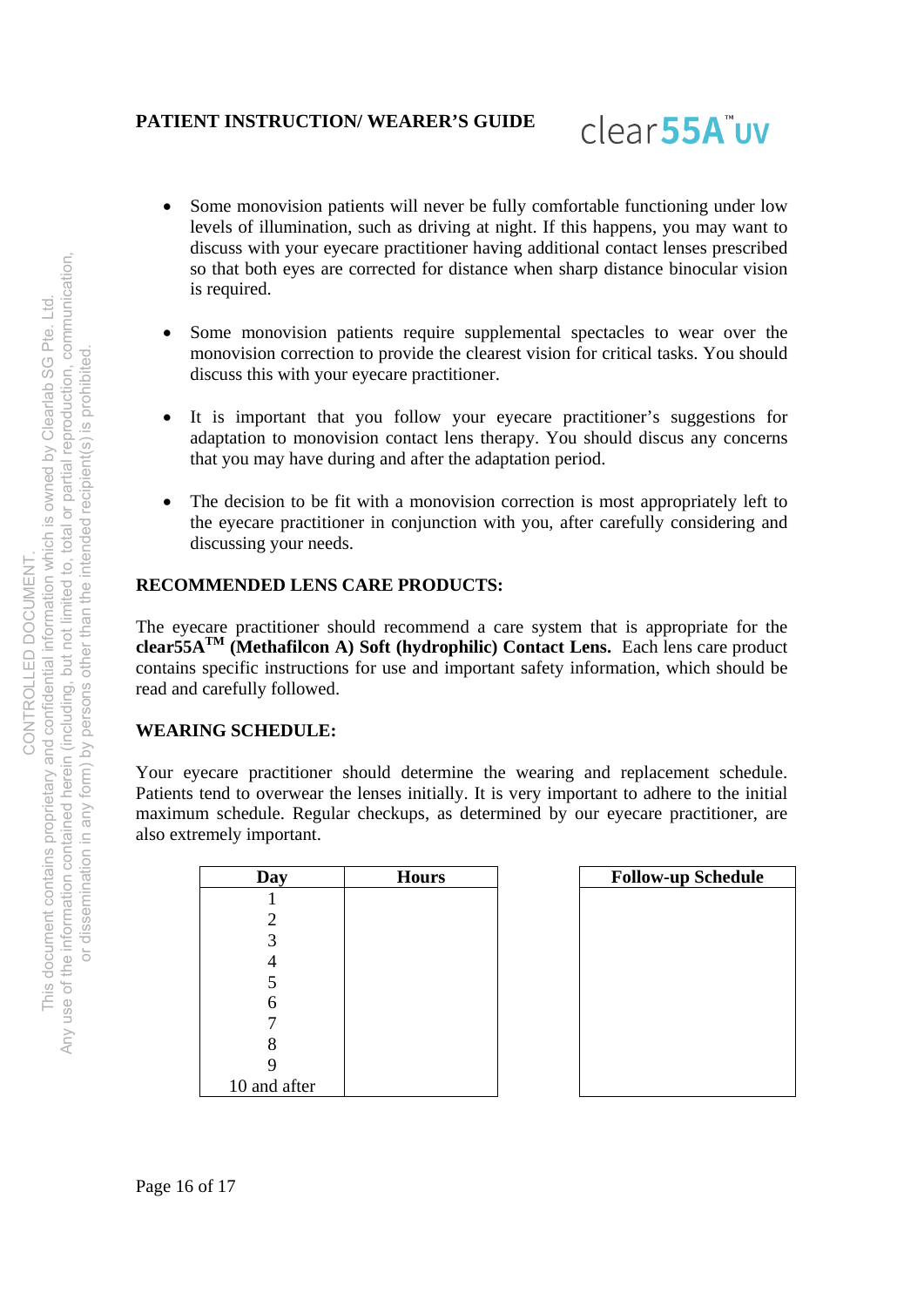

- Some monovision patients will never be fully comfortable functioning under low levels of illumination, such as driving at night. If this happens, you may want to discuss with your eyecare practitioner having additional contact lenses prescribed so that both eyes are corrected for distance when sharp distance binocular vision is required.
- Some monovision patients require supplemental spectacles to wear over the monovision correction to provide the clearest vision for critical tasks. You should discuss this with your eyecare practitioner.
- It is important that you follow your eyecare practitioner's suggestions for adaptation to monovision contact lens therapy. You should discus any concerns that you may have during and after the adaptation period.
- The decision to be fit with a monovision correction is most appropriately left to the eyecare practitioner in conjunction with you, after carefully considering and discussing your needs.

# **RECOMMENDED LENS CARE PRODUCTS:**

The eyecare practitioner should recommend a care system that is appropriate for the **clear55ATM (Methafilcon A) Soft (hydrophilic) Contact Lens.** Each lens care product contains specific instructions for use and important safety information, which should be read and carefully followed.

### **WEARING SCHEDULE:**

Your eyecare practitioner should determine the wearing and replacement schedule. Patients tend to overwear the lenses initially. It is very important to adhere to the initial maximum schedule. Regular checkups, as determined by our eyecare practitioner, are also extremely important.

| Day          | <b>Hours</b> | <b>Follow-up Schedule</b> |
|--------------|--------------|---------------------------|
|              |              |                           |
| 2            |              |                           |
| 3            |              |                           |
|              |              |                           |
|              |              |                           |
| 6            |              |                           |
|              |              |                           |
| 8            |              |                           |
|              |              |                           |
| 10 and after |              |                           |